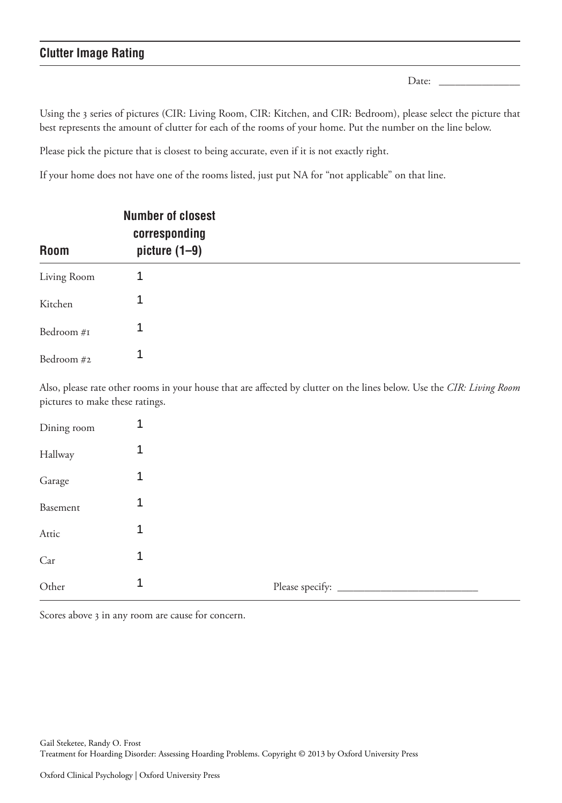#### **Clutter Image Rating**

Date:  $\Box$ 

 Using the 3 series of pictures (CIR: Living Room, CIR: Kitchen, and CIR: Bedroom), please select the picture that best represents the amount of clutter for each of the rooms of your home. Put the number on the line below.

Please pick the picture that is closest to being accurate, even if it is not exactly right.

If your home does not have one of the rooms listed, just put NA for "not applicable" on that line.

| <b>Room</b> | <b>Number of closest</b><br>corresponding<br>picture $(1-9)$ |  |
|-------------|--------------------------------------------------------------|--|
| Living Room | 1                                                            |  |
| Kitchen     | 1                                                            |  |
| Bedroom #1  | 1                                                            |  |
| Bedroom #2  | 1                                                            |  |

Also, please rate other rooms in your house that are affected by clutter on the lines below. Use the CIR: Living Room pictures to make these ratings.

| Dining room                                                                                                                                                                                                                                                                                                                                                                                                                                                                         | 1 |                 |
|-------------------------------------------------------------------------------------------------------------------------------------------------------------------------------------------------------------------------------------------------------------------------------------------------------------------------------------------------------------------------------------------------------------------------------------------------------------------------------------|---|-----------------|
| Hallway                                                                                                                                                                                                                                                                                                                                                                                                                                                                             | 1 |                 |
| Garage                                                                                                                                                                                                                                                                                                                                                                                                                                                                              | 1 |                 |
| Basement                                                                                                                                                                                                                                                                                                                                                                                                                                                                            | 1 |                 |
| Attic                                                                                                                                                                                                                                                                                                                                                                                                                                                                               | 1 |                 |
| Car                                                                                                                                                                                                                                                                                                                                                                                                                                                                                 | 1 |                 |
| Other<br>$\frac{1}{2} \left( \frac{1}{2} \right) \left( \frac{1}{2} \right) \left( \frac{1}{2} \right) \left( \frac{1}{2} \right) \left( \frac{1}{2} \right) \left( \frac{1}{2} \right) \left( \frac{1}{2} \right) \left( \frac{1}{2} \right) \left( \frac{1}{2} \right) \left( \frac{1}{2} \right) \left( \frac{1}{2} \right) \left( \frac{1}{2} \right) \left( \frac{1}{2} \right) \left( \frac{1}{2} \right) \left( \frac{1}{2} \right) \left( \frac{1}{2} \right) \left( \frac$ | 1 | Please specify: |

Scores above 3 in any room are cause for concern.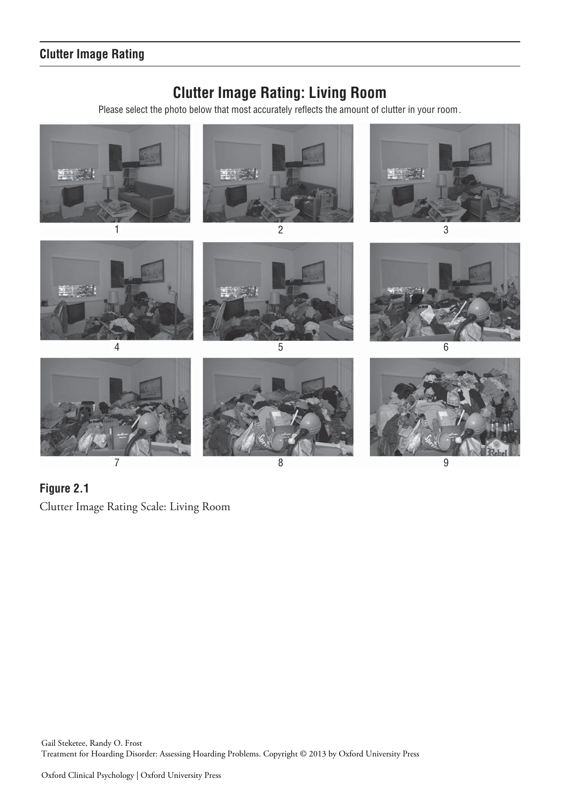# **Clutter Image Rating: Living Room**

Please select the photo below that most accurately reflects the amount of clutter in your room.



 **Figure 2.1**  Clutter Image Rating Scale: Living Room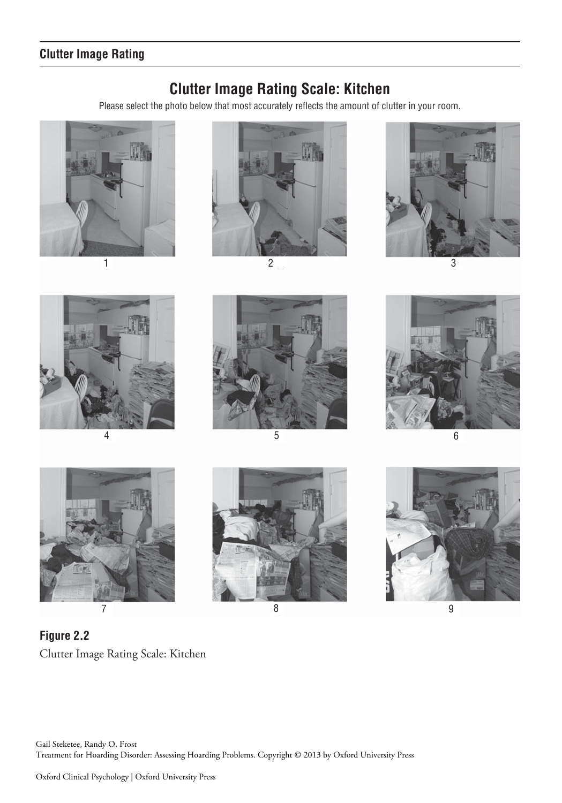## **Clutter Image Rating**

#### **Clutter Image Rating Scale: Kitchen**

Please select the photo below that most accurately reflects the amount of clutter in your room.



















 **Figure 2.2**  Clutter Image Rating Scale: Kitchen